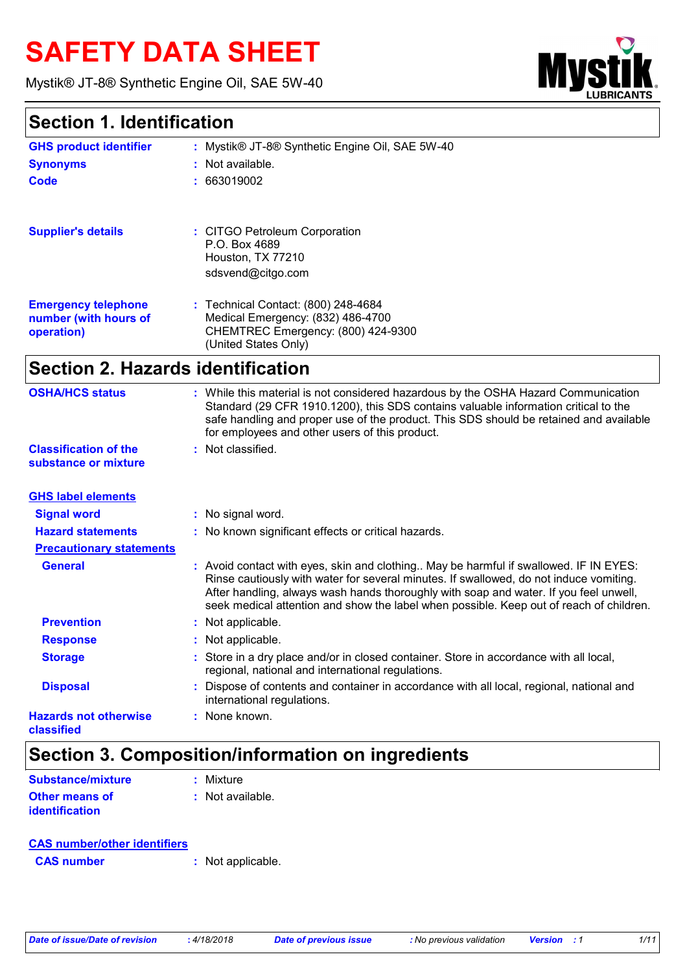# **SAFETY DATA SHEET**

Mystik® JT-8® Synthetic Engine Oil, SAE 5W-40



### **Section 1. Identification**

| <b>GHS product identifier</b>                                     | Mystik® JT-8® Synthetic Engine Oil, SAE 5W-40                                                                                                                                                                                                                                                                                                                       |  |  |
|-------------------------------------------------------------------|---------------------------------------------------------------------------------------------------------------------------------------------------------------------------------------------------------------------------------------------------------------------------------------------------------------------------------------------------------------------|--|--|
| <b>Synonyms</b>                                                   | Not available.                                                                                                                                                                                                                                                                                                                                                      |  |  |
| <b>Code</b>                                                       | 663019002                                                                                                                                                                                                                                                                                                                                                           |  |  |
| <b>Supplier's details</b>                                         | : CITGO Petroleum Corporation<br>P.O. Box 4689<br>Houston, TX 77210<br>sdsvend@citgo.com                                                                                                                                                                                                                                                                            |  |  |
| <b>Emergency telephone</b><br>number (with hours of<br>operation) | : Technical Contact: (800) 248-4684<br>Medical Emergency: (832) 486-4700<br>CHEMTREC Emergency: (800) 424-9300<br>(United States Only)                                                                                                                                                                                                                              |  |  |
| <b>Section 2. Hazards identification</b>                          |                                                                                                                                                                                                                                                                                                                                                                     |  |  |
| <b>OSHA/HCS status</b>                                            | : While this material is not considered hazardous by the OSHA Hazard Communication<br>Standard (29 CFR 1910.1200), this SDS contains valuable information critical to the<br>safe handling and proper use of the product. This SDS should be retained and available<br>for employees and other users of this product.                                               |  |  |
| <b>Classification of the</b><br>substance or mixture              | : Not classified.                                                                                                                                                                                                                                                                                                                                                   |  |  |
| <b>GHS label elements</b>                                         |                                                                                                                                                                                                                                                                                                                                                                     |  |  |
| <b>Signal word</b>                                                | : No signal word.                                                                                                                                                                                                                                                                                                                                                   |  |  |
| <b>Hazard statements</b>                                          | : No known significant effects or critical hazards.                                                                                                                                                                                                                                                                                                                 |  |  |
| <b>Precautionary statements</b>                                   |                                                                                                                                                                                                                                                                                                                                                                     |  |  |
| <b>General</b>                                                    | : Avoid contact with eyes, skin and clothing May be harmful if swallowed. IF IN EYES:<br>Rinse cautiously with water for several minutes. If swallowed, do not induce vomiting.<br>After handling, always wash hands thoroughly with soap and water. If you feel unwell,<br>seek medical attention and show the label when possible. Keep out of reach of children. |  |  |
| <b>Prevention</b>                                                 | : Not applicable.                                                                                                                                                                                                                                                                                                                                                   |  |  |
| <b>Response</b>                                                   | : Not applicable.                                                                                                                                                                                                                                                                                                                                                   |  |  |
| <b>Storage</b>                                                    | : Store in a dry place and/or in closed container. Store in accordance with all local,<br>regional, national and international regulations.                                                                                                                                                                                                                         |  |  |
| <b>Disposal</b>                                                   | Dispose of contents and container in accordance with all local, regional, national and<br>international regulations.                                                                                                                                                                                                                                                |  |  |
| <b>Hazards not otherwise</b><br>classified                        | : None known.                                                                                                                                                                                                                                                                                                                                                       |  |  |

### **Section 3. Composition/information on ingredients**

| <b>Substance/mixture</b> | : Mixture        |
|--------------------------|------------------|
| <b>Other means of</b>    | : Not available. |
| identification           |                  |

#### **CAS number/other identifiers**

**CAS number :** Not applicable.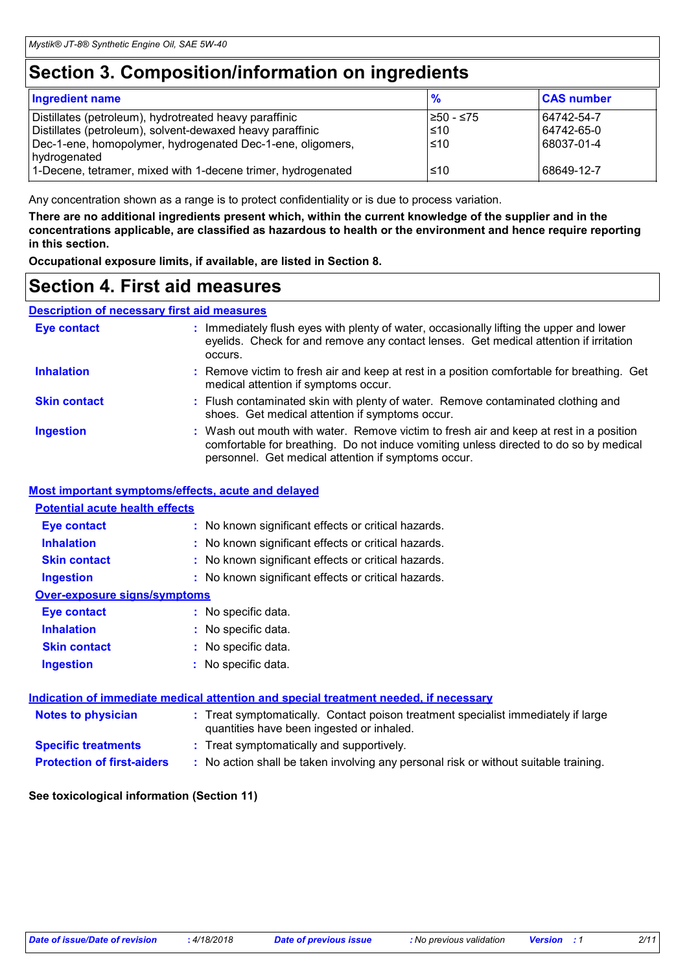### **Section 3. Composition/information on ingredients**

| <b>CAS number</b>          |                          |
|----------------------------|--------------------------|
| 64742-54-7<br>  64742-65-0 |                          |
|                            |                          |
|                            | 68037-01-4<br>68649-12-7 |

Any concentration shown as a range is to protect confidentiality or is due to process variation.

**There are no additional ingredients present which, within the current knowledge of the supplier and in the concentrations applicable, are classified as hazardous to health or the environment and hence require reporting in this section.**

**Occupational exposure limits, if available, are listed in Section 8.**

### **Section 4. First aid measures**

#### **Description of necessary first aid measures**

| <b>Eye contact</b>  | : Immediately flush eyes with plenty of water, occasionally lifting the upper and lower<br>eyelids. Check for and remove any contact lenses. Get medical attention if irritation<br>occurs.                                            |
|---------------------|----------------------------------------------------------------------------------------------------------------------------------------------------------------------------------------------------------------------------------------|
| <b>Inhalation</b>   | : Remove victim to fresh air and keep at rest in a position comfortable for breathing. Get<br>medical attention if symptoms occur.                                                                                                     |
| <b>Skin contact</b> | : Flush contaminated skin with plenty of water. Remove contaminated clothing and<br>shoes. Get medical attention if symptoms occur.                                                                                                    |
| <b>Ingestion</b>    | : Wash out mouth with water. Remove victim to fresh air and keep at rest in a position<br>comfortable for breathing. Do not induce vomiting unless directed to do so by medical<br>personnel. Get medical attention if symptoms occur. |

#### **Most important symptoms/effects, acute and delayed**

| <b>Potential acute health effects</b>                                      |  |
|----------------------------------------------------------------------------|--|
| : No known significant effects or critical hazards.<br>Eye contact         |  |
| <b>Inhalation</b><br>: No known significant effects or critical hazards.   |  |
| <b>Skin contact</b><br>: No known significant effects or critical hazards. |  |
| : No known significant effects or critical hazards.<br><b>Ingestion</b>    |  |
| Over-exposure signs/symptoms                                               |  |
| : No specific data.<br>Eye contact                                         |  |
| <b>Inhalation</b><br>: No specific data.                                   |  |
| <b>Skin contact</b><br>: No specific data.                                 |  |
| : No specific data.<br><b>Ingestion</b>                                    |  |

|                                   | Indication of immediate medical attention and special treatment needed, if necessary                                           |  |
|-----------------------------------|--------------------------------------------------------------------------------------------------------------------------------|--|
| <b>Notes to physician</b>         | : Treat symptomatically. Contact poison treatment specialist immediately if large<br>quantities have been ingested or inhaled. |  |
| <b>Specific treatments</b>        | : Treat symptomatically and supportively.                                                                                      |  |
| <b>Protection of first-aiders</b> | : No action shall be taken involving any personal risk or without suitable training.                                           |  |

#### **See toxicological information (Section 11)**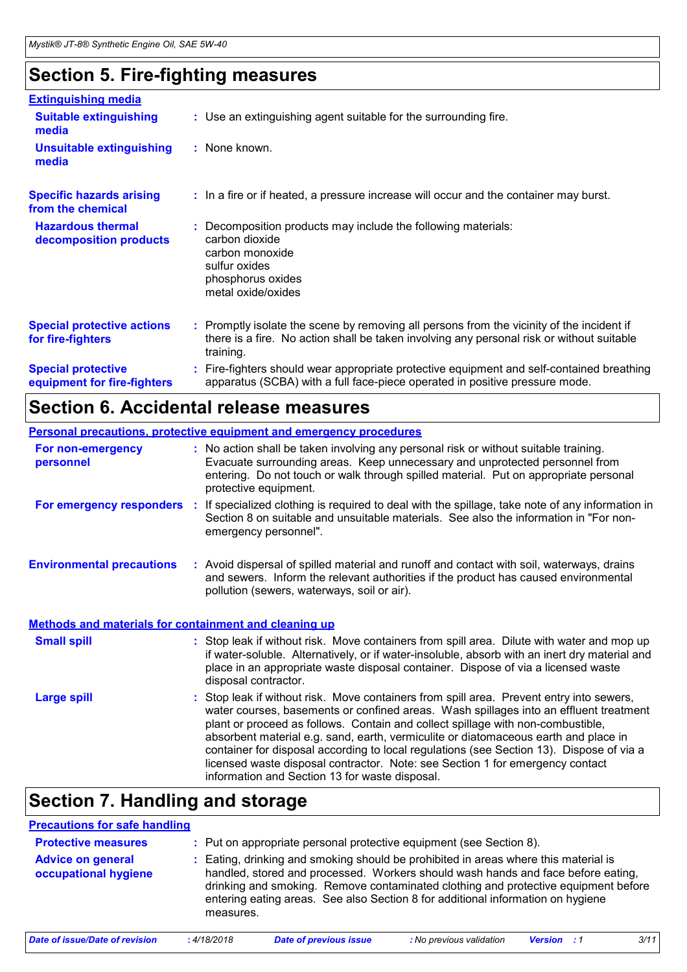### **Section 5. Fire-fighting measures**

| <b>Extinguishing media</b>                               |                                                                                                                                                                                                     |
|----------------------------------------------------------|-----------------------------------------------------------------------------------------------------------------------------------------------------------------------------------------------------|
| <b>Suitable extinguishing</b><br>media                   | : Use an extinguishing agent suitable for the surrounding fire.                                                                                                                                     |
| <b>Unsuitable extinguishing</b><br>media                 | : None known.                                                                                                                                                                                       |
| <b>Specific hazards arising</b><br>from the chemical     | : In a fire or if heated, a pressure increase will occur and the container may burst.                                                                                                               |
| <b>Hazardous thermal</b><br>decomposition products       | Decomposition products may include the following materials:<br>carbon dioxide<br>carbon monoxide<br>sulfur oxides<br>phosphorus oxides<br>metal oxide/oxides                                        |
| <b>Special protective actions</b><br>for fire-fighters   | : Promptly isolate the scene by removing all persons from the vicinity of the incident if<br>there is a fire. No action shall be taken involving any personal risk or without suitable<br>training. |
| <b>Special protective</b><br>equipment for fire-fighters | Fire-fighters should wear appropriate protective equipment and self-contained breathing<br>apparatus (SCBA) with a full face-piece operated in positive pressure mode.                              |

### **Section 6. Accidental release measures**

| <b>Personal precautions, protective equipment and emergency procedures</b> |          |                                                                                                                                                                                                                                                                                                                                                                                                                                                                                                                                                                                            |  |
|----------------------------------------------------------------------------|----------|--------------------------------------------------------------------------------------------------------------------------------------------------------------------------------------------------------------------------------------------------------------------------------------------------------------------------------------------------------------------------------------------------------------------------------------------------------------------------------------------------------------------------------------------------------------------------------------------|--|
| For non-emergency<br>personnel                                             |          | : No action shall be taken involving any personal risk or without suitable training.<br>Evacuate surrounding areas. Keep unnecessary and unprotected personnel from<br>entering. Do not touch or walk through spilled material. Put on appropriate personal<br>protective equipment.                                                                                                                                                                                                                                                                                                       |  |
| For emergency responders                                                   | <b>C</b> | If specialized clothing is required to deal with the spillage, take note of any information in<br>Section 8 on suitable and unsuitable materials. See also the information in "For non-<br>emergency personnel".                                                                                                                                                                                                                                                                                                                                                                           |  |
| <b>Environmental precautions</b>                                           |          | : Avoid dispersal of spilled material and runoff and contact with soil, waterways, drains<br>and sewers. Inform the relevant authorities if the product has caused environmental<br>pollution (sewers, waterways, soil or air).                                                                                                                                                                                                                                                                                                                                                            |  |
| <b>Methods and materials for containment and cleaning up</b>               |          |                                                                                                                                                                                                                                                                                                                                                                                                                                                                                                                                                                                            |  |
| <b>Small spill</b>                                                         |          | : Stop leak if without risk. Move containers from spill area. Dilute with water and mop up<br>if water-soluble. Alternatively, or if water-insoluble, absorb with an inert dry material and<br>place in an appropriate waste disposal container. Dispose of via a licensed waste<br>disposal contractor.                                                                                                                                                                                                                                                                                   |  |
| <b>Large spill</b>                                                         |          | : Stop leak if without risk. Move containers from spill area. Prevent entry into sewers,<br>water courses, basements or confined areas. Wash spillages into an effluent treatment<br>plant or proceed as follows. Contain and collect spillage with non-combustible,<br>absorbent material e.g. sand, earth, vermiculite or diatomaceous earth and place in<br>container for disposal according to local regulations (see Section 13). Dispose of via a<br>licensed waste disposal contractor. Note: see Section 1 for emergency contact<br>information and Section 13 for waste disposal. |  |

### **Section 7. Handling and storage**

| <b>Precautions for safe handling</b>             |             |                                                                                                                                                                                                                                                                                                                                                |                          |                    |      |
|--------------------------------------------------|-------------|------------------------------------------------------------------------------------------------------------------------------------------------------------------------------------------------------------------------------------------------------------------------------------------------------------------------------------------------|--------------------------|--------------------|------|
| <b>Protective measures</b>                       |             | Put on appropriate personal protective equipment (see Section 8).                                                                                                                                                                                                                                                                              |                          |                    |      |
| <b>Advice on general</b><br>occupational hygiene | measures.   | Eating, drinking and smoking should be prohibited in areas where this material is<br>handled, stored and processed. Workers should wash hands and face before eating,<br>drinking and smoking. Remove contaminated clothing and protective equipment before<br>entering eating areas. See also Section 8 for additional information on hygiene |                          |                    |      |
| Date of issue/Date of revision                   | : 4/18/2018 | <b>Date of previous issue</b>                                                                                                                                                                                                                                                                                                                  | : No previous validation | <b>Version</b> : 1 | 3/11 |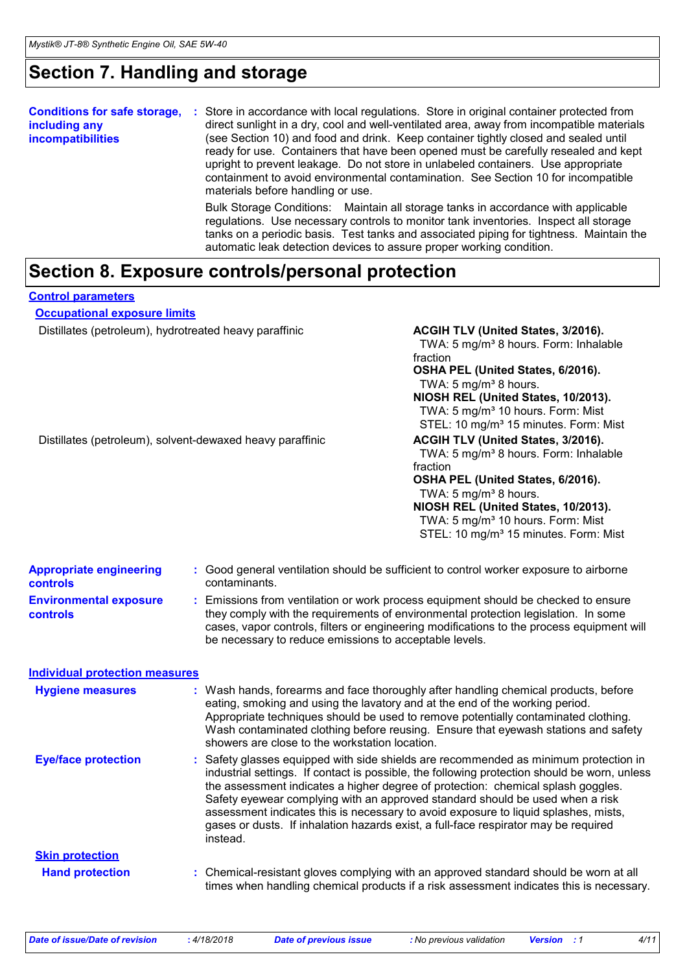### **Section 7. Handling and storage**

| <b>Conditions for safe storage,</b><br>including any<br><b>incompatibilities</b> | Store in accordance with local regulations. Store in original container protected from<br>п.<br>direct sunlight in a dry, cool and well-ventilated area, away from incompatible materials<br>(see Section 10) and food and drink. Keep container tightly closed and sealed until<br>ready for use. Containers that have been opened must be carefully resealed and kept<br>upright to prevent leakage. Do not store in unlabeled containers. Use appropriate<br>containment to avoid environmental contamination. See Section 10 for incompatible<br>materials before handling or use. |
|----------------------------------------------------------------------------------|----------------------------------------------------------------------------------------------------------------------------------------------------------------------------------------------------------------------------------------------------------------------------------------------------------------------------------------------------------------------------------------------------------------------------------------------------------------------------------------------------------------------------------------------------------------------------------------|
|                                                                                  | Bulk Storage Conditions: Maintain all storage tanks in accordance with applicable<br>regulations. Use necessary controls to monitor tank inventories. Inspect all storage<br>tanks on a periodic basis. Test tanks and associated piping for tightness. Maintain the                                                                                                                                                                                                                                                                                                                   |

automatic leak detection devices to assure proper working condition.

### **Section 8. Exposure controls/personal protection**

**Control parameters**

**Occupational exposure limits**

Distillates (petroleum), hydrotreated heavy paraffinic **ACGIH TLV (United States, 3/2016).** 

TWA: 5 mg/m<sup>3</sup> 8 hours. Form: Inhalable fraction

**OSHA PEL (United States, 6/2016).** TWA:  $5 \text{ mg/m}^3$  8 hours.

**NIOSH REL (United States, 10/2013).** TWA: 5 mg/m<sup>3</sup> 10 hours. Form: Mist STEL: 10 mg/m<sup>3</sup> 15 minutes. Form: Mist

Distillates (petroleum), solvent-dewaxed heavy paraffinic **ACGIH TLV (United States, 3/2016).** 

TWA: 5 mg/m<sup>3</sup> 8 hours. Form: Inhalable fraction

#### **OSHA PEL (United States, 6/2016).** TWA:  $5 \text{ mg/m}^3$  8 hours.

**NIOSH REL (United States, 10/2013).**

TWA: 5 mg/m<sup>3</sup> 10 hours. Form: Mist STEL: 10 mg/m<sup>3</sup> 15 minutes. Form: Mist

| <b>Appropriate engineering</b><br><b>controls</b> | : Good general ventilation should be sufficient to control worker exposure to airborne<br>contaminants.                                                                                                                                                             |  |
|---------------------------------------------------|---------------------------------------------------------------------------------------------------------------------------------------------------------------------------------------------------------------------------------------------------------------------|--|
| <b>Environmental exposure</b><br>controls         | Emissions from ventilation or work process equipment should be checked to ensure<br>they comply with the requirements of environmental protection legislation. In some<br>cases, vapor controls, filters or engineering modifications to the process equipment will |  |

be necessary to reduce emissions to acceptable levels.

#### **Individual protection measures**

| <b>Hygiene measures</b>    | : Wash hands, forearms and face thoroughly after handling chemical products, before<br>eating, smoking and using the lavatory and at the end of the working period.<br>Appropriate techniques should be used to remove potentially contaminated clothing.<br>Wash contaminated clothing before reusing. Ensure that eyewash stations and safety<br>showers are close to the workstation location.                                                                                                                                                   |
|----------------------------|-----------------------------------------------------------------------------------------------------------------------------------------------------------------------------------------------------------------------------------------------------------------------------------------------------------------------------------------------------------------------------------------------------------------------------------------------------------------------------------------------------------------------------------------------------|
| <b>Eye/face protection</b> | : Safety glasses equipped with side shields are recommended as minimum protection in<br>industrial settings. If contact is possible, the following protection should be worn, unless<br>the assessment indicates a higher degree of protection: chemical splash goggles.<br>Safety eyewear complying with an approved standard should be used when a risk<br>assessment indicates this is necessary to avoid exposure to liquid splashes, mists,<br>gases or dusts. If inhalation hazards exist, a full-face respirator may be required<br>instead. |
| <b>Skin protection</b>     |                                                                                                                                                                                                                                                                                                                                                                                                                                                                                                                                                     |
| <b>Hand protection</b>     | : Chemical-resistant gloves complying with an approved standard should be worn at all<br>times when handling chemical products if a risk assessment indicates this is necessary.                                                                                                                                                                                                                                                                                                                                                                    |

*Date of issue/Date of revision* **:** *4/18/2018 Date of previous issue : No previous validation Version : 1 4/11*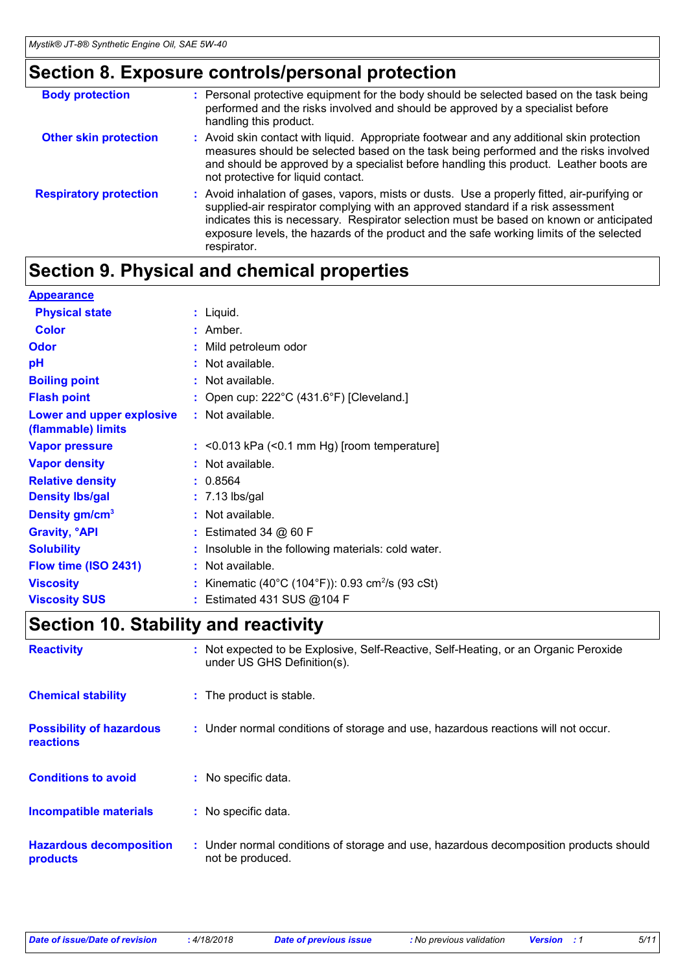### **Section 8. Exposure controls/personal protection**

| <b>Body protection</b>        | : Personal protective equipment for the body should be selected based on the task being<br>performed and the risks involved and should be approved by a specialist before<br>handling this product.                                                                                                                                                                                   |
|-------------------------------|---------------------------------------------------------------------------------------------------------------------------------------------------------------------------------------------------------------------------------------------------------------------------------------------------------------------------------------------------------------------------------------|
| <b>Other skin protection</b>  | : Avoid skin contact with liquid. Appropriate footwear and any additional skin protection<br>measures should be selected based on the task being performed and the risks involved<br>and should be approved by a specialist before handling this product. Leather boots are<br>not protective for liquid contact.                                                                     |
| <b>Respiratory protection</b> | : Avoid inhalation of gases, vapors, mists or dusts. Use a properly fitted, air-purifying or<br>supplied-air respirator complying with an approved standard if a risk assessment<br>indicates this is necessary. Respirator selection must be based on known or anticipated<br>exposure levels, the hazards of the product and the safe working limits of the selected<br>respirator. |

### **Section 9. Physical and chemical properties**

| <b>Appearance</b>                               |                                                            |
|-------------------------------------------------|------------------------------------------------------------|
| <b>Physical state</b>                           | $:$ Liquid.                                                |
| <b>Color</b>                                    | $:$ Amber.                                                 |
| <b>Odor</b>                                     | : Mild petroleum odor                                      |
| pH                                              | : Not available.                                           |
| <b>Boiling point</b>                            | : Not available.                                           |
| <b>Flash point</b>                              | : Open cup: $222^{\circ}$ C (431.6°F) [Cleveland.]         |
| Lower and upper explosive<br>(flammable) limits | $:$ Not available.                                         |
| <b>Vapor pressure</b>                           | $:$ <0.013 kPa (<0.1 mm Hg) [room temperature]             |
| <b>Vapor density</b>                            | : Not available.                                           |
| <b>Relative density</b>                         | : 0.8564                                                   |
| <b>Density Ibs/gal</b>                          | $: 7.13$ lbs/gal                                           |
| Density gm/cm <sup>3</sup>                      | : Not available.                                           |
| <b>Gravity, <sup>o</sup>API</b>                 | $:$ Estimated 34 $@$ 60 F                                  |
| <b>Solubility</b>                               | Insoluble in the following materials: cold water.          |
| Flow time (ISO 2431)                            | : Not available.                                           |
| <b>Viscosity</b>                                | Kinematic (40°C (104°F)): 0.93 cm <sup>2</sup> /s (93 cSt) |
| <b>Viscosity SUS</b>                            | Estimated 431 SUS @104 F                                   |

### **Section 10. Stability and reactivity**

| <b>Reactivity</b>                            | : Not expected to be Explosive, Self-Reactive, Self-Heating, or an Organic Peroxide<br>under US GHS Definition(s). |
|----------------------------------------------|--------------------------------------------------------------------------------------------------------------------|
| <b>Chemical stability</b>                    | : The product is stable.                                                                                           |
| <b>Possibility of hazardous</b><br>reactions | : Under normal conditions of storage and use, hazardous reactions will not occur.                                  |
| <b>Conditions to avoid</b>                   | : No specific data.                                                                                                |
| <b>Incompatible materials</b>                | : No specific data.                                                                                                |
| <b>Hazardous decomposition</b><br>products   | : Under normal conditions of storage and use, hazardous decomposition products should<br>not be produced.          |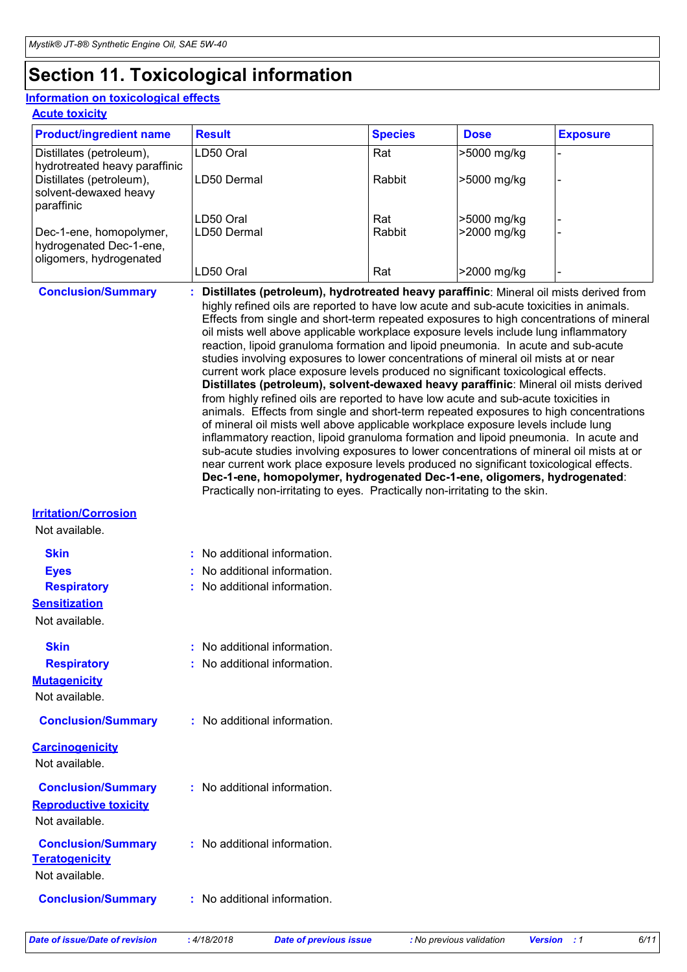## **Section 11. Toxicological information**

#### **Acute toxicity Information on toxicological effects**

| <b>Product/ingredient name</b>                                                | <b>Result</b> | <b>Species</b> | <b>Dose</b> | <b>Exposure</b> |
|-------------------------------------------------------------------------------|---------------|----------------|-------------|-----------------|
| Distillates (petroleum),<br>hydrotreated heavy paraffinic                     | LD50 Oral     | Rat            | >5000 mg/kg |                 |
| Distillates (petroleum),<br>solvent-dewaxed heavy<br>paraffinic               | LD50 Dermal   | Rabbit         | >5000 mg/kg |                 |
|                                                                               | LD50 Oral     | Rat            | >5000 mg/kg |                 |
| Dec-1-ene, homopolymer,<br>hydrogenated Dec-1-ene,<br>oligomers, hydrogenated | LD50 Dermal   | Rabbit         | >2000 mg/kg |                 |
|                                                                               | LD50 Oral     | Rat            | >2000 mg/kg |                 |

**Conclusion/Summary : Distillates (petroleum), hydrotreated heavy paraffinic**: Mineral oil mists derived from highly refined oils are reported to have low acute and sub-acute toxicities in animals. Effects from single and short-term repeated exposures to high concentrations of mineral oil mists well above applicable workplace exposure levels include lung inflammatory reaction, lipoid granuloma formation and lipoid pneumonia. In acute and sub-acute studies involving exposures to lower concentrations of mineral oil mists at or near current work place exposure levels produced no significant toxicological effects. **Distillates (petroleum), solvent-dewaxed heavy paraffinic**: Mineral oil mists derived from highly refined oils are reported to have low acute and sub-acute toxicities in animals. Effects from single and short-term repeated exposures to high concentrations of mineral oil mists well above applicable workplace exposure levels include lung inflammatory reaction, lipoid granuloma formation and lipoid pneumonia. In acute and sub-acute studies involving exposures to lower concentrations of mineral oil mists at or near current work place exposure levels produced no significant toxicological effects. **Dec-1-ene, homopolymer, hydrogenated Dec-1-ene, oligomers, hydrogenated**: Practically non-irritating to eyes. Practically non-irritating to the skin.

#### **Irritation/Corrosion**

Not available.

**Skin Eyes**

- **:** No additional information.
- **:** No additional information.
	- **:** No additional information.
- **:** No additional information.
	- **:** No additional information.
- **Conclusion/Summary :** No additional information.

No additional information.

**Carcinogenicity**

Not available.

**Mutagenicity** Not available.

**Respiratory**

**Skin**

**Sensitization** Not available.

**Respiratory**

**Reproductive toxicity** Not available. **Conclusion/Summary :** No additional information.

**Teratogenicity** Not available. **Conclusion/Summary :**

**Conclusion/Summary :** No additional information.

*Date of issue/Date of revision* **:** *4/18/2018 Date of previous issue : No previous validation Version : 1 6/11*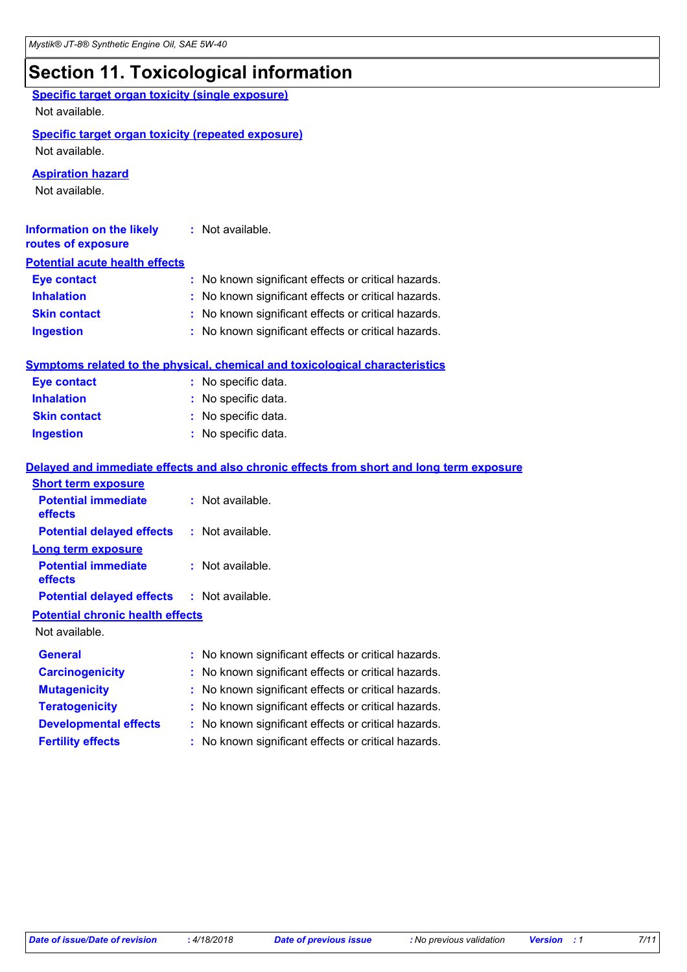# **Section 11. Toxicological information**

| <b>Specific target organ toxicity (single exposure)</b>   |                                                                                          |
|-----------------------------------------------------------|------------------------------------------------------------------------------------------|
| Not available.                                            |                                                                                          |
| <b>Specific target organ toxicity (repeated exposure)</b> |                                                                                          |
| Not available.                                            |                                                                                          |
| <b>Aspiration hazard</b>                                  |                                                                                          |
| Not available.                                            |                                                                                          |
| <b>Information on the likely</b><br>routes of exposure    | : Not available.                                                                         |
| <b>Potential acute health effects</b>                     |                                                                                          |
| <b>Eye contact</b>                                        | : No known significant effects or critical hazards.                                      |
| <b>Inhalation</b>                                         | : No known significant effects or critical hazards.                                      |
| <b>Skin contact</b>                                       | : No known significant effects or critical hazards.                                      |
| <b>Ingestion</b>                                          | : No known significant effects or critical hazards.                                      |
|                                                           | <b>Symptoms related to the physical, chemical and toxicological characteristics</b>      |
| <b>Eye contact</b>                                        | : No specific data.                                                                      |
| <b>Inhalation</b>                                         | : No specific data.                                                                      |
| <b>Skin contact</b>                                       | : No specific data.                                                                      |
| <b>Ingestion</b>                                          | : No specific data.                                                                      |
|                                                           | Delayed and immediate effects and also chronic effects from short and long term exposure |
| <b>Short term exposure</b>                                |                                                                                          |
| <b>Potential immediate</b><br>effects                     | : Not available.                                                                         |
| <b>Potential delayed effects</b>                          | : Not available.                                                                         |
| <b>Long term exposure</b>                                 |                                                                                          |
| <b>Potential immediate</b><br>effects                     | : Not available.                                                                         |
| <b>Potential delayed effects</b>                          | : Not available.                                                                         |
| <b>Potential chronic health effects</b>                   |                                                                                          |
| Not available.                                            |                                                                                          |
| <b>General</b>                                            | : No known significant effects or critical hazards.                                      |
| <b>Carcinogenicity</b>                                    | No known significant effects or critical hazards.                                        |
| <b>Mutagenicity</b>                                       | No known significant effects or critical hazards.                                        |
| <b>Teratogenicity</b>                                     | No known significant effects or critical hazards.                                        |
| <b>Developmental effects</b>                              | No known significant effects or critical hazards.                                        |
| <b>Fertility effects</b>                                  | : No known significant effects or critical hazards.                                      |
|                                                           |                                                                                          |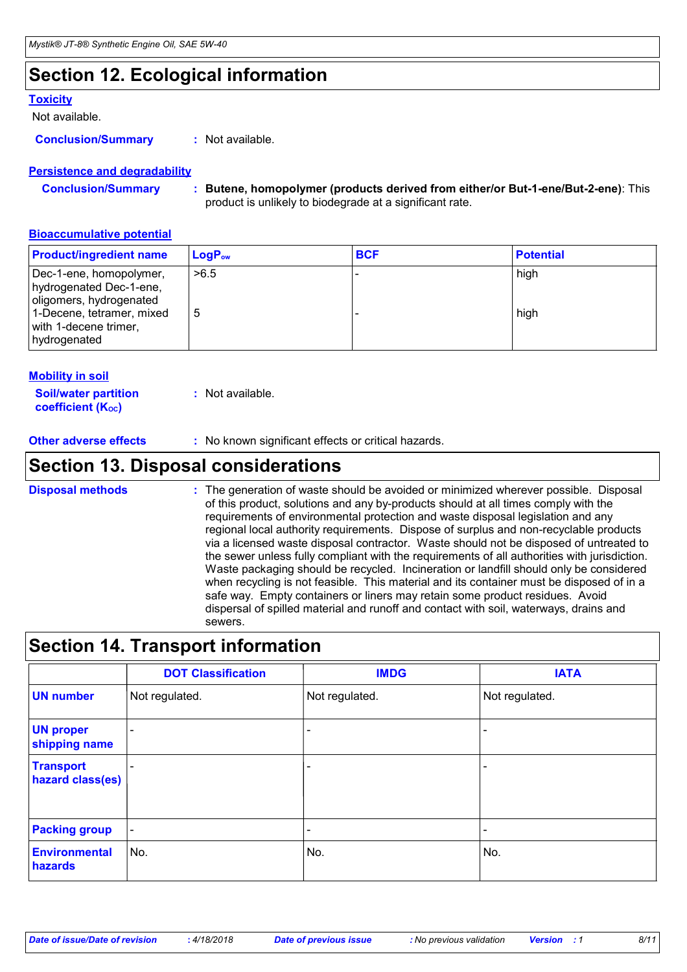### **Section 12. Ecological information**

#### **Toxicity**

Not available.

**Conclusion/Summary :** Not available.

#### **Persistence and degradability**

| <b>Conclusion/Summary</b> | * Butene, homopolymer (products derived from either/or But-1-ene/But-2-ene): This |
|---------------------------|-----------------------------------------------------------------------------------|
|                           | product is unlikely to biodegrade at a significant rate.                          |

#### **Bioaccumulative potential**

| <b>Product/ingredient name</b>                                                                                                                      | $\mathsf{LogP}_\mathsf{ow}$ | <b>BCF</b> | <b>Potential</b> |
|-----------------------------------------------------------------------------------------------------------------------------------------------------|-----------------------------|------------|------------------|
| Dec-1-ene, homopolymer,<br>hydrogenated Dec-1-ene,<br>oligomers, hydrogenated<br>1-Decene, tetramer, mixed<br>with 1-decene trimer,<br>hydrogenated | >6.5<br>5                   |            | high<br>high     |

#### **Mobility in soil**

| <b>Soil/water partition</b>    | : Not available. |
|--------------------------------|------------------|
| coefficient (K <sub>oc</sub> ) |                  |

**Other adverse effects** : No known significant effects or critical hazards.

### **Section 13. Disposal considerations**

The generation of waste should be avoided or minimized wherever possible. Disposal of this product, solutions and any by-products should at all times comply with the requirements of environmental protection and waste disposal legislation and any regional local authority requirements. Dispose of surplus and non-recyclable products via a licensed waste disposal contractor. Waste should not be disposed of untreated to the sewer unless fully compliant with the requirements of all authorities with jurisdiction. Waste packaging should be recycled. Incineration or landfill should only be considered when recycling is not feasible. This material and its container must be disposed of in a safe way. Empty containers or liners may retain some product residues. Avoid dispersal of spilled material and runoff and contact with soil, waterways, drains and sewers. **Disposal methods :**

### **Section 14. Transport information**

|                                      | <b>DOT Classification</b> | <b>IMDG</b>              | <b>IATA</b>              |
|--------------------------------------|---------------------------|--------------------------|--------------------------|
| <b>UN number</b>                     | Not regulated.            | Not regulated.           | Not regulated.           |
| <b>UN proper</b><br>shipping name    | $\overline{\phantom{0}}$  | ۰                        |                          |
| <b>Transport</b><br>hazard class(es) | $\overline{\phantom{a}}$  | $\overline{\phantom{0}}$ | $\qquad \qquad$          |
| <b>Packing group</b>                 | $\overline{\phantom{a}}$  | $\overline{\phantom{0}}$ | $\overline{\phantom{a}}$ |
| <b>Environmental</b><br>hazards      | ∣No.                      | No.                      | No.                      |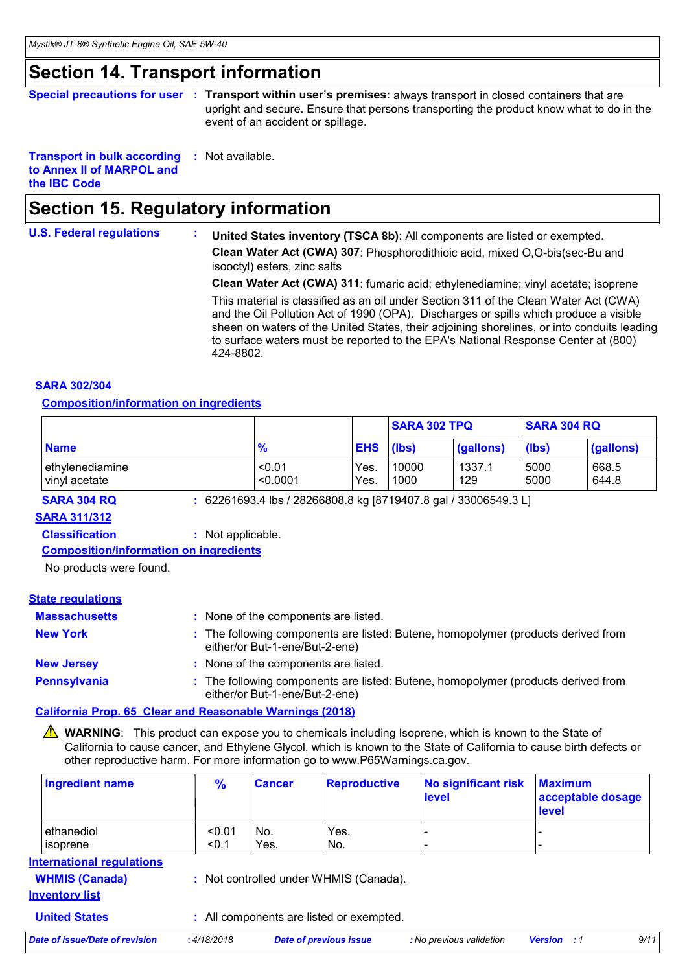### **Section 14. Transport information**

|  | Special precautions for user : Transport within user's premises: always transport in closed containers that are |
|--|-----------------------------------------------------------------------------------------------------------------|
|  | upright and secure. Ensure that persons transporting the product know what to do in the                         |
|  | event of an accident or spillage.                                                                               |

#### **Transport in bulk according :** Not available. **to Annex II of MARPOL and the IBC Code**

### **Section 15. Regulatory information**

#### **U.S. Federal regulations : United States inventory (TSCA 8b)**: All components are listed or exempted. **Clean Water Act (CWA) 307**: Phosphorodithioic acid, mixed O,O-bis(sec-Bu and isooctyl) esters, zinc salts **Clean Water Act (CWA) 311**: fumaric acid; ethylenediamine; vinyl acetate; isoprene This material is classified as an oil under Section 311 of the Clean Water Act (CWA) and the Oil Pollution Act of 1990 (OPA). Discharges or spills which produce a visible sheen on waters of the United States, their adjoining shorelines, or into conduits leading to surface waters must be reported to the EPA's National Response Center at (800) 424-8802.

#### **SARA 302/304**

**Composition/information on ingredients**

|                                  |                    |              | <b>SARA 304 RQ</b><br><b>SARA 302 TPQ</b> |               |              |                |
|----------------------------------|--------------------|--------------|-------------------------------------------|---------------|--------------|----------------|
| <b>Name</b>                      | $\frac{9}{6}$      | <b>EHS</b>   | (lbs)                                     | (gallons)     | (lbs)        | (gallons)      |
| ethylenediamine<br>vinyl acetate | < 0.01<br>< 0.0001 | Yes.<br>Yes. | 10000<br>1000                             | 1337.1<br>129 | 5000<br>5000 | 668.5<br>644.8 |

**SARA 304 RQ :** 62261693.4 lbs / 28266808.8 kg [8719407.8 gal / 33006549.3 L]

### **SARA 311/312**

**Classification :** Not applicable.

**Composition/information on ingredients**

No products were found.

#### **State regulations**

| <b>Massachusetts</b> | None of the components are listed.                                                                                  |
|----------------------|---------------------------------------------------------------------------------------------------------------------|
| <b>New York</b>      | : The following components are listed: Butene, homopolymer (products derived from<br>either/or But-1-ene/But-2-ene) |
| <b>New Jersey</b>    | None of the components are listed.                                                                                  |
| <b>Pennsylvania</b>  | : The following components are listed: Butene, homopolymer (products derived from<br>either/or But-1-ene/But-2-ene) |

#### **California Prop. 65 Clear and Reasonable Warnings (2018)**

**NARNING**: This product can expose you to chemicals including Isoprene, which is known to the State of California to cause cancer, and Ethylene Glycol, which is known to the State of California to cause birth defects or other reproductive harm. For more information go to www.P65Warnings.ca.gov.

| <b>Ingredient name</b>  | $\frac{9}{6}$   | <b>Cancer</b> | <b>Reproductive</b> | No significant risk<br>level | <b>Maximum</b><br>acceptable dosage<br><b>level</b> |
|-------------------------|-----------------|---------------|---------------------|------------------------------|-----------------------------------------------------|
| ethanediol<br>lisoprene | < 0.01<br>< 0.1 | No.<br>Yes.   | Yes.<br>No.         | -                            |                                                     |

#### **International regulations**

|                       | <b>WHMIS (Canada)</b> | $\therefore$ Not compared |
|-----------------------|-----------------------|---------------------------|
| <b>Inventory list</b> |                       |                           |

ontrolled under WHMIS (Canada).

**United States :** All components are listed or exempted.

|  | Date of issue/Date of revision | 4/18/2018 | Date of previous issue | : No previous validation | Version | 9/11 |
|--|--------------------------------|-----------|------------------------|--------------------------|---------|------|
|--|--------------------------------|-----------|------------------------|--------------------------|---------|------|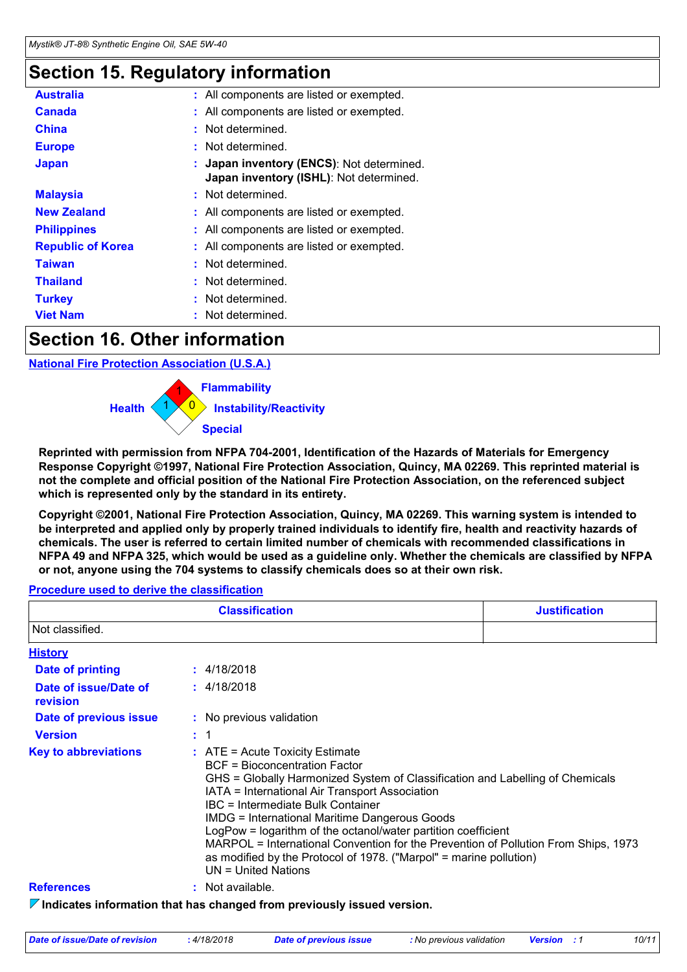### **Section 15. Regulatory information**

| <b>Australia</b>         | : All components are listed or exempted.                                             |
|--------------------------|--------------------------------------------------------------------------------------|
| Canada                   | : All components are listed or exempted.                                             |
| <b>China</b>             | : Not determined.                                                                    |
| <b>Europe</b>            | : Not determined.                                                                    |
| <b>Japan</b>             | : Japan inventory (ENCS): Not determined.<br>Japan inventory (ISHL): Not determined. |
| <b>Malaysia</b>          | : Not determined.                                                                    |
| <b>New Zealand</b>       | : All components are listed or exempted.                                             |
| <b>Philippines</b>       | : All components are listed or exempted.                                             |
| <b>Republic of Korea</b> | : All components are listed or exempted.                                             |
| <b>Taiwan</b>            | : Not determined.                                                                    |
| <b>Thailand</b>          | : Not determined.                                                                    |
| <b>Turkey</b>            | : Not determined.                                                                    |
| <b>Viet Nam</b>          | : Not determined.                                                                    |

### **Section 16. Other information**

**National Fire Protection Association (U.S.A.)**



**Reprinted with permission from NFPA 704-2001, Identification of the Hazards of Materials for Emergency Response Copyright ©1997, National Fire Protection Association, Quincy, MA 02269. This reprinted material is not the complete and official position of the National Fire Protection Association, on the referenced subject which is represented only by the standard in its entirety.**

**Copyright ©2001, National Fire Protection Association, Quincy, MA 02269. This warning system is intended to be interpreted and applied only by properly trained individuals to identify fire, health and reactivity hazards of chemicals. The user is referred to certain limited number of chemicals with recommended classifications in NFPA 49 and NFPA 325, which would be used as a guideline only. Whether the chemicals are classified by NFPA or not, anyone using the 704 systems to classify chemicals does so at their own risk.**

#### **Procedure used to derive the classification**

|                                   | <b>Classification</b>                                                                                                                                                                                                                                                                                                                                                                                                                                                                                                                                                    | <b>Justification</b> |  |
|-----------------------------------|--------------------------------------------------------------------------------------------------------------------------------------------------------------------------------------------------------------------------------------------------------------------------------------------------------------------------------------------------------------------------------------------------------------------------------------------------------------------------------------------------------------------------------------------------------------------------|----------------------|--|
| Not classified.                   |                                                                                                                                                                                                                                                                                                                                                                                                                                                                                                                                                                          |                      |  |
| <b>History</b>                    |                                                                                                                                                                                                                                                                                                                                                                                                                                                                                                                                                                          |                      |  |
| <b>Date of printing</b>           | : 4/18/2018                                                                                                                                                                                                                                                                                                                                                                                                                                                                                                                                                              |                      |  |
| Date of issue/Date of<br>revision | : 4/18/2018                                                                                                                                                                                                                                                                                                                                                                                                                                                                                                                                                              |                      |  |
| Date of previous issue            | : No previous validation                                                                                                                                                                                                                                                                                                                                                                                                                                                                                                                                                 |                      |  |
| <b>Version</b>                    | $\therefore$ 1                                                                                                                                                                                                                                                                                                                                                                                                                                                                                                                                                           |                      |  |
| <b>Key to abbreviations</b>       | $\therefore$ ATE = Acute Toxicity Estimate<br><b>BCF</b> = Bioconcentration Factor<br>GHS = Globally Harmonized System of Classification and Labelling of Chemicals<br>IATA = International Air Transport Association<br>IBC = Intermediate Bulk Container<br><b>IMDG = International Maritime Dangerous Goods</b><br>LogPow = logarithm of the octanol/water partition coefficient<br>MARPOL = International Convention for the Prevention of Pollution From Ships, 1973<br>as modified by the Protocol of 1978. ("Marpol" = marine pollution)<br>$UN = United Nations$ |                      |  |
| <b>References</b>                 | $:$ Not available.                                                                                                                                                                                                                                                                                                                                                                                                                                                                                                                                                       |                      |  |
|                                   | $\triangledown$ Indicates information that has changed from previously issued version.                                                                                                                                                                                                                                                                                                                                                                                                                                                                                   |                      |  |